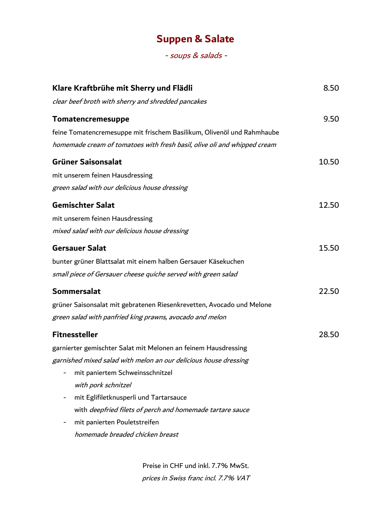# **Suppen & Salate**

- soups & salads -

| Klare Kraftbrühe mit Sherry und Flädli                                   | 8.50  |
|--------------------------------------------------------------------------|-------|
| clear beef broth with sherry and shredded pancakes                       |       |
| Tomatencremesuppe                                                        | 9.50  |
| feine Tomatencremesuppe mit frischem Basilikum, Olivenöl und Rahmhaube   |       |
| homemade cream of tomatoes with fresh basil, olive oli and whipped cream |       |
| <b>Grüner Saisonsalat</b>                                                | 10.50 |
| mit unserem feinen Hausdressing                                          |       |
| green salad with our delicious house dressing                            |       |
| <b>Gemischter Salat</b>                                                  | 12.50 |
| mit unserem feinen Hausdressing                                          |       |
| mixed salad with our delicious house dressing                            |       |
| <b>Gersauer Salat</b>                                                    | 15.50 |
| bunter grüner Blattsalat mit einem halben Gersauer Käsekuchen            |       |
| small piece of Gersauer cheese quiche served with green salad            |       |
| <b>Sommersalat</b>                                                       | 22.50 |
| grüner Saisonsalat mit gebratenen Riesenkrevetten, Avocado und Melone    |       |
| green salad with panfried king prawns, avocado and melon                 |       |
| <b>Fitnessteller</b>                                                     | 28.50 |
| garnierter gemischter Salat mit Melonen an feinem Hausdressing           |       |
| garnished mixed salad with melon an our delicious house dressing         |       |
| mit paniertem Schweinsschnitzel                                          |       |
| with pork schnitzel                                                      |       |
| mit Eglifiletknusperli und Tartarsauce                                   |       |
| with deepfried filets of perch and homemade tartare sauce                |       |
| mit panierten Pouletstreifen                                             |       |
| homemade breaded chicken breast                                          |       |
|                                                                          |       |

Preise in CHF und inkl. 7.7% MwSt. prices in Swiss franc incl. 7.7% VAT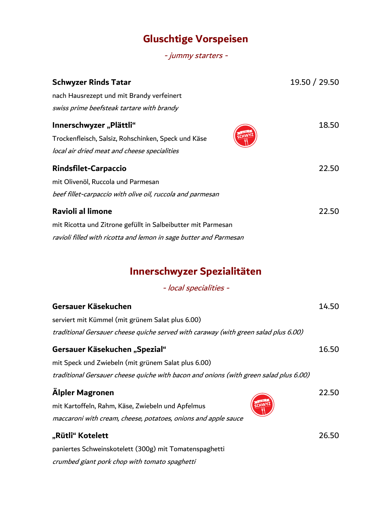## **Gluschtige Vorspeisen**

- jummy starters -

| <b>Schwyzer Rinds Tatar</b>                                       | 19.50 / 29.50 |
|-------------------------------------------------------------------|---------------|
| nach Hausrezept und mit Brandy verfeinert                         |               |
| swiss prime beefsteak tartare with brandy                         |               |
| Innerschwyzer "Plättli"                                           | 18.50         |
| Trockenfleisch, Salsiz, Rohschinken, Speck und Käse               |               |
| local air dried meat and cheese specialities                      |               |
| <b>Rindsfilet-Carpaccio</b>                                       | 22.50         |
| mit Olivenöl, Ruccola und Parmesan                                |               |
| beef fillet-carpaccio with olive oil, ruccola and parmesan        |               |
| <b>Ravioli al limone</b>                                          | 22.50         |
| mit Ricotta und Zitrone gefüllt in Salbeibutter mit Parmesan      |               |
| ravioli filled with ricotta and lemon in sage butter and Parmesan |               |

# **Innerschwyzer Spezialitäten**

- local specialities -

| Gersauer Käsekuchen                                                                   | 14.50 |
|---------------------------------------------------------------------------------------|-------|
| serviert mit Kümmel (mit grünem Salat plus 6.00)                                      |       |
| traditional Gersauer cheese quiche served with caraway (with green salad plus 6.00)   |       |
| Gersauer Käsekuchen "Spezial"                                                         | 16.50 |
| mit Speck und Zwiebeln (mit grünem Salat plus 6.00)                                   |       |
| traditional Gersauer cheese quiche with bacon and onions (with green salad plus 6.00) |       |
| Älpler Magronen<br>mit Kartoffeln, Rahm, Käse, Zwiebeln und Apfelmus                  | 22.50 |
| maccaroni with cream, cheese, potatoes, onions and apple sauce                        |       |
| "Rütli" Kotelett                                                                      | 26.50 |
| paniertes Schweinskotelett (300g) mit Tomatenspaghetti                                |       |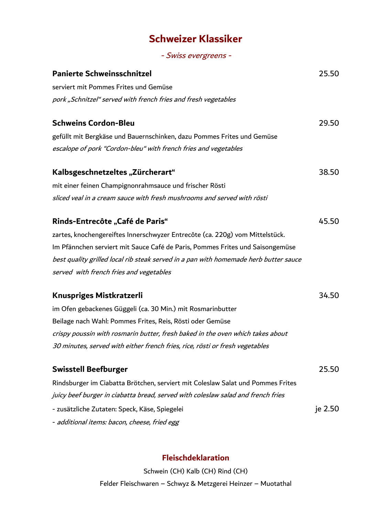## **Schweizer Klassiker**

- Swiss evergreens -

| <b>Panierte Schweinsschnitzel</b>                                                    | 25.50   |
|--------------------------------------------------------------------------------------|---------|
| serviert mit Pommes Frites und Gemüse                                                |         |
| pork "Schnitzel" served with french fries and fresh vegetables                       |         |
| <b>Schweins Cordon-Bleu</b>                                                          | 29.50   |
| gefüllt mit Bergkäse und Bauernschinken, dazu Pommes Frites und Gemüse               |         |
| escalope of pork "Cordon-bleu" with french fries and vegetables                      |         |
| Kalbsgeschnetzeltes "Zürcherart"                                                     | 38.50   |
| mit einer feinen Champignonrahmsauce und frischer Rösti                              |         |
| sliced veal in a cream sauce with fresh mushrooms and served with rösti              |         |
| <b>Rinds-Entrecôte "Café de Paris"</b>                                               | 45.50   |
| zartes, knochengereiftes Innerschwyzer Entrecôte (ca. 220g) vom Mittelstück.         |         |
| Im Pfännchen serviert mit Sauce Café de Paris, Pommes Frites und Saisongemüse        |         |
| best quality grilled local rib steak served in a pan with homemade herb butter sauce |         |
| served with french fries and vegetables                                              |         |
| Knuspriges Mistkratzerli                                                             | 34.50   |
| im Ofen gebackenes Güggeli (ca. 30 Min.) mit Rosmarinbutter                          |         |
| Beilage nach Wahl: Pommes Frites, Reis, Rösti oder Gemüse                            |         |
| crispy poussin with rosmarin butter, fresh baked in the oven which takes about       |         |
| 30 minutes, served with either french fries, rice, rösti or fresh vegetables         |         |
| <b>Swisstell Beefburger</b>                                                          | 25.50   |
| Rindsburger im Ciabatta Brötchen, serviert mit Coleslaw Salat und Pommes Frites      |         |
| juicy beef burger in ciabatta bread, served with coleslaw salad and french fries     |         |
| - zusätzliche Zutaten: Speck, Käse, Spiegelei                                        | je 2.50 |
| - additional items: bacon, cheese, fried egg                                         |         |

### **Fleischdeklaration**

Schwein (CH) Kalb (CH) Rind (CH) Felder Fleischwaren – Schwyz & Metzgerei Heinzer – Muotathal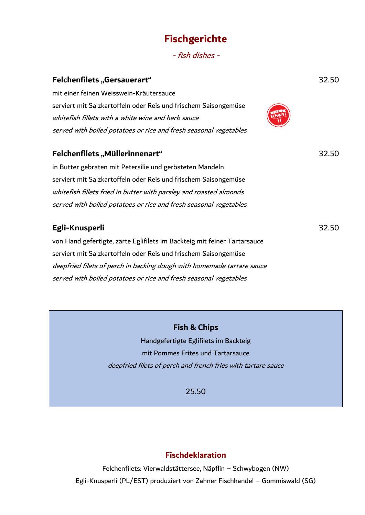### **Fischgerichte**

- fish dishes -

| 32.50 |
|-------|
|       |
|       |
|       |
|       |
|       |
| 32.50 |
|       |
|       |
|       |
|       |
|       |
| 32.50 |
|       |
|       |
|       |
|       |
|       |

### **Fish & Chips**

Handgefertigte Eglifilets im Backteig mit Pommes Frites und Tartarsauce deepfried filets of perch and french fries with tartare sauce

25.50

### **Fischdeklaration**

Felchenfilets: Vierwaldstättersee, Näpflin – Schwybogen (NW) Egli-Knusperli (PL/EST) produziert von Zahner Fischhandel – Gommiswald (SG)